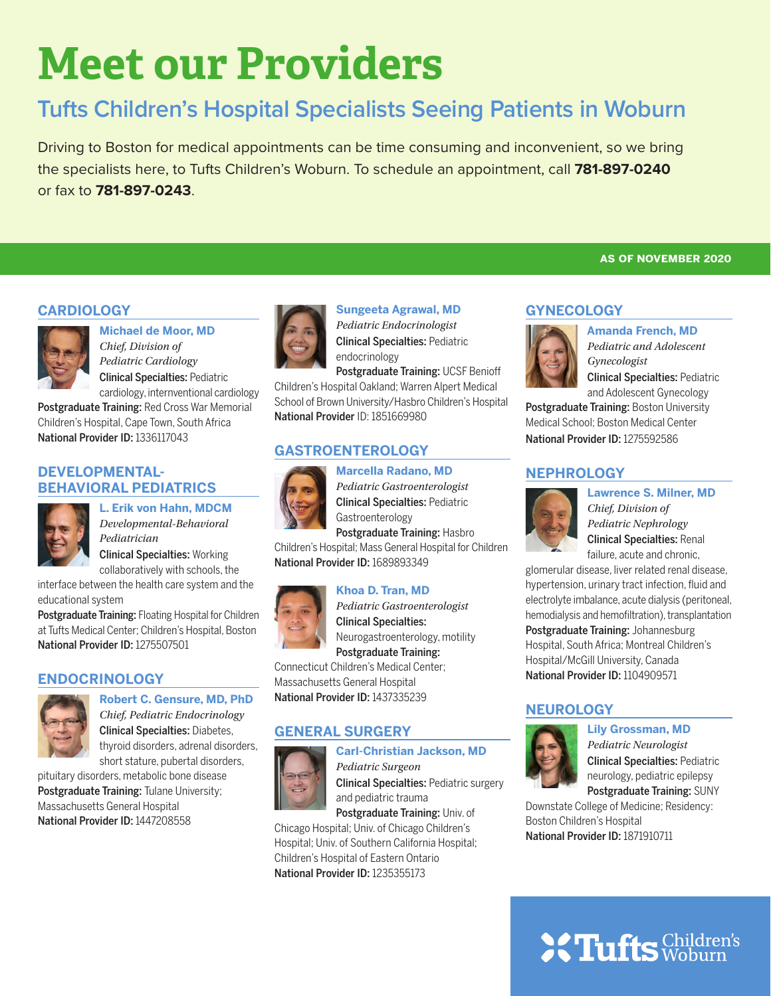# **Meet our Providers**

## **Tufts Children's Hospital Specialists Seeing Patients in Woburn**

Driving to Boston for medical appointments can be time consuming and inconvenient, so we bring the specialists here, to Tufts Children's Woburn. To schedule an appointment, call **781-897-0240** or fax to **781-897-0243**.

#### **CARDIOLOGY**



#### **Michael de Moor, MD**  *Chief, Division of*

*Pediatric Cardiology*  Clinical Specialties: Pediatric cardiology, internventional cardiology

Postgraduate Training: Red Cross War Memorial Children's Hospital, Cape Town, South Africa National Provider ID: 1336117043

#### **DEVELOPMENTAL-BEHAVIORAL PEDIATRICS**

**L. Erik von Hahn, MDCM**



Clinical Specialties: Working collaboratively with schools, the

interface between the health care system and the educational system

Postgraduate Training: Floating Hospital for Children at Tufts Medical Center; Children's Hospital, Boston National Provider ID: 1275507501

#### **ENDOCRINOLOGY**



**Robert C. Gensure, MD, PhD** *Chief, Pediatric Endocrinology* Clinical Specialties: Diabetes, thyroid disorders, adrenal disorders, short stature, pubertal disorders,

pituitary disorders, metabolic bone disease Postgraduate Training: Tulane University; Massachusetts General Hospital National Provider ID: 1447208558



**Sungeeta Agrawal, MD** *Pediatric Endocrinologist* Clinical Specialties: Pediatric endocrinology

Postgraduate Training: UCSF Benioff Children's Hospital Oakland; Warren Alpert Medical School of Brown University/Hasbro Children's Hospital National Provider ID: 1851669980

#### **GASTROENTEROLOGY**

#### **Marcella Radano, MD**



*Pediatric Gastroenterologist* Clinical Specialties: Pediatric Gastroenterology Postgraduate Training: Hasbro

Children's Hospital; Mass General Hospital for Children National Provider ID: 1689893349

#### **Khoa D. Tran, MD**



*Pediatric Gastroenterologist* Clinical Specialties: Neurogastroenterology, motility Postgraduate Training:

Connecticut Children's Medical Center; Massachusetts General Hospital National Provider ID: 1437335239

#### **GENERAL SURGERY**



**Carl-Christian Jackson, MD** *Pediatric Surgeon* Clinical Specialties: Pediatric surgery and pediatric trauma

Postgraduate Training: Univ. of Chicago Hospital; Univ. of Chicago Children's Hospital; Univ. of Southern California Hospital;

Children's Hospital of Eastern Ontario National Provider ID: 1235355173

#### **as of november 2020**

#### **GYNECOLOGY**



**Amanda French, MD** *Pediatric and Adolescent Gynecologist*  Clinical Specialties: Pediatric

and Adolescent Gynecology

Postgraduate Training: Boston University Medical School; Boston Medical Center National Provider ID: 1275592586

#### **NEPHROLOGY**



**Lawrence S. Milner, MD** *Chief, Division of Pediatric Nephrology* Clinical Specialties: Renal failure, acute and chronic,

glomerular disease, liver related renal disease, hypertension, urinary tract infection, fluid and electrolyte imbalance, acute dialysis (peritoneal, hemodialysis and hemofiltration), transplantation Postgraduate Training: Johannesburg Hospital, South Africa; Montreal Children's Hospital/McGill University, Canada National Provider ID: 1104909571

#### **NEUROLOGY**



**Lily Grossman, MD**

*Pediatric Neurologist* Clinical Specialties: Pediatric neurology, pediatric epilepsy Postgraduate Training: SUNY

Downstate College of Medicine; Residency: Boston Children's Hospital National Provider ID: 1871910711

## **SC Tufts Children's**